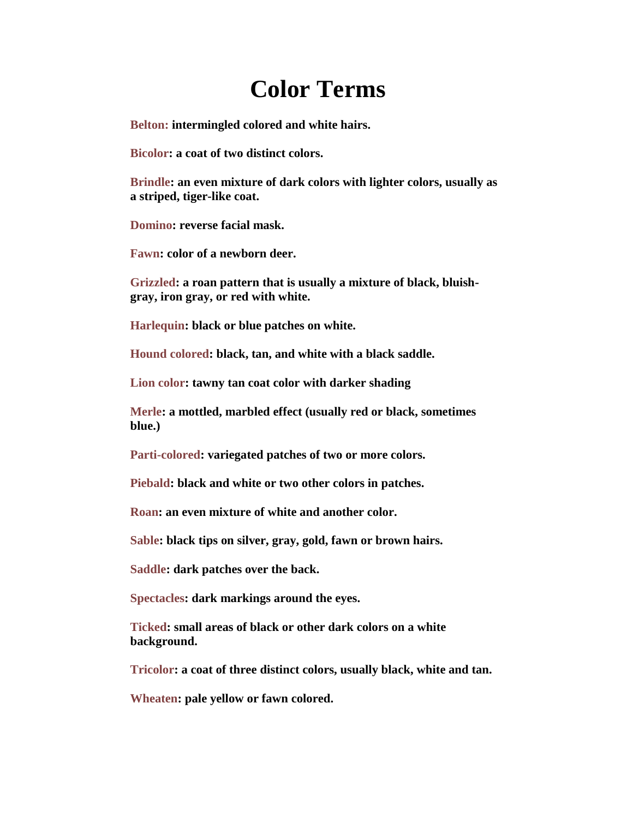# **Color Terms**

**Belton: intermingled colored and white hairs.**

**Bicolor: a coat of two distinct colors.**

**Brindle: an even mixture of dark colors with lighter colors, usually as a striped, tiger-like coat.**

**Domino: reverse facial mask.**

**Fawn: color of a newborn deer.**

**Grizzled: a roan pattern that is usually a mixture of black, bluishgray, iron gray, or red with white.** 

**Harlequin: black or blue patches on white.**

**Hound colored: black, tan, and white with a black saddle.**

**Lion color: tawny tan coat color with darker shading**

**Merle: a mottled, marbled effect (usually red or black, sometimes blue.)**

**Parti-colored: variegated patches of two or more colors.**

**Piebald: black and white or two other colors in patches.**

**Roan: an even mixture of white and another color.** 

**Sable: black tips on silver, gray, gold, fawn or brown hairs.**

**Saddle: dark patches over the back.**

**Spectacles: dark markings around the eyes.**

**Ticked: small areas of black or other dark colors on a white background.**

**Tricolor: a coat of three distinct colors, usually black, white and tan.**

**Wheaten: pale yellow or fawn colored.**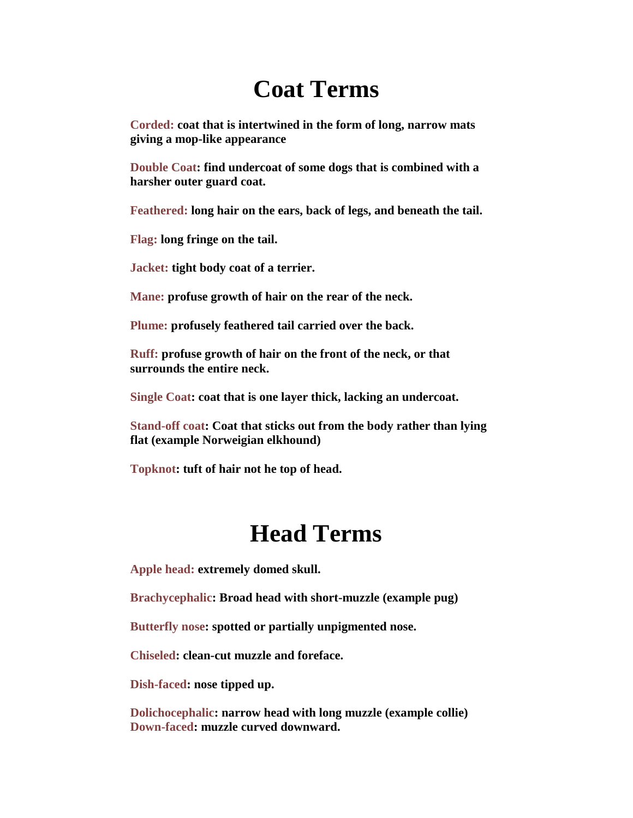# **Coat Terms**

**Corded: coat that is intertwined in the form of long, narrow mats giving a mop-like appearance** 

**Double Coat: find undercoat of some dogs that is combined with a harsher outer guard coat.**

**Feathered: long hair on the ears, back of legs, and beneath the tail.**

**Flag: long fringe on the tail.**

**Jacket: tight body coat of a terrier.**

**Mane: profuse growth of hair on the rear of the neck.**

**Plume: profusely feathered tail carried over the back.**

**Ruff: profuse growth of hair on the front of the neck, or that surrounds the entire neck.**

**Single Coat: coat that is one layer thick, lacking an undercoat.**

**Stand-off coat: Coat that sticks out from the body rather than lying flat (example Norweigian elkhound)**

**Topknot: tuft of hair not he top of head.**

#### **Head Terms**

**Apple head: extremely domed skull.**

**Brachycephalic: Broad head with short-muzzle (example pug)**

**Butterfly nose: spotted or partially unpigmented nose.** 

**Chiseled: clean-cut muzzle and foreface.**

**Dish-faced: nose tipped up.**

**Dolichocephalic: narrow head with long muzzle (example collie) Down-faced: muzzle curved downward.**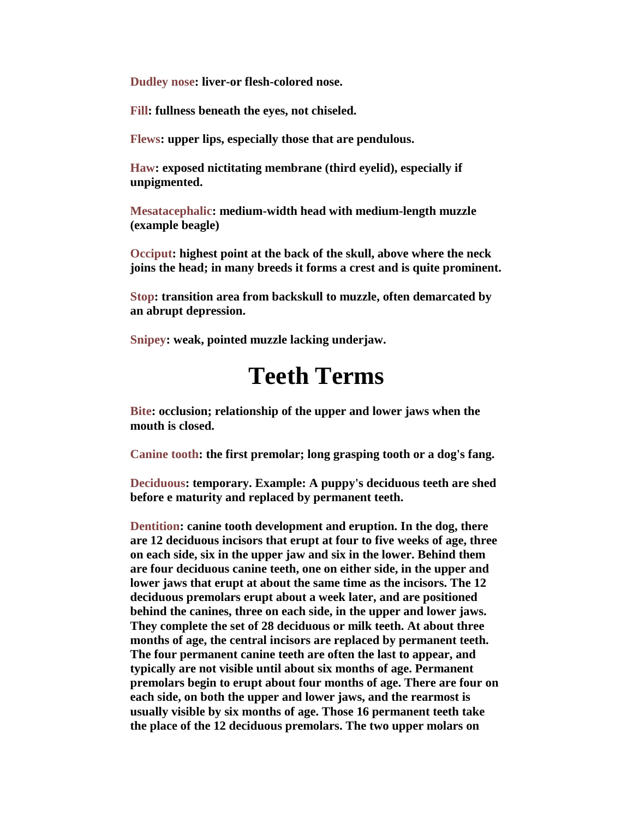**Dudley nose: liver-or flesh-colored nose.**

**Fill: fullness beneath the eyes, not chiseled.**

**Flews: upper lips, especially those that are pendulous.**

**Haw: exposed nictitating membrane (third eyelid), especially if unpigmented.**

**Mesatacephalic: medium-width head with medium-length muzzle (example beagle)**

**Occiput: highest point at the back of the skull, above where the neck joins the head; in many breeds it forms a crest and is quite prominent.**

**Stop: transition area from backskull to muzzle, often demarcated by an abrupt depression.**

**Snipey: weak, pointed muzzle lacking underjaw.**

#### **Teeth Terms**

**Bite: occlusion; relationship of the upper and lower jaws when the mouth is closed.**

**Canine tooth: the first premolar; long grasping tooth or a dog's fang.**

**Deciduous: temporary. Example: A puppy's deciduous teeth are shed before e maturity and replaced by permanent teeth.**

**Dentition: canine tooth development and eruption. In the dog, there are 12 deciduous incisors that erupt at four to five weeks of age, three on each side, six in the upper jaw and six in the lower. Behind them are four deciduous canine teeth, one on either side, in the upper and lower jaws that erupt at about the same time as the incisors. The 12 deciduous premolars erupt about a week later, and are positioned behind the canines, three on each side, in the upper and lower jaws. They complete the set of 28 deciduous or milk teeth. At about three months of age, the central incisors are replaced by permanent teeth. The four permanent canine teeth are often the last to appear, and typically are not visible until about six months of age. Permanent premolars begin to erupt about four months of age. There are four on each side, on both the upper and lower jaws, and the rearmost is usually visible by six months of age. Those 16 permanent teeth take the place of the 12 deciduous premolars. The two upper molars on**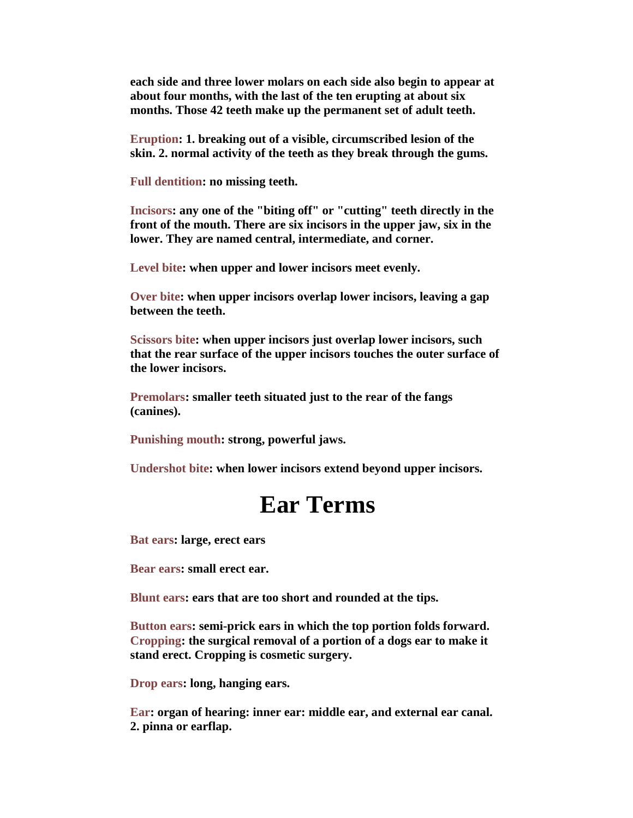**each side and three lower molars on each side also begin to appear at about four months, with the last of the ten erupting at about six months. Those 42 teeth make up the permanent set of adult teeth.**

**Eruption: 1. breaking out of a visible, circumscribed lesion of the skin. 2. normal activity of the teeth as they break through the gums.**

**Full dentition: no missing teeth.**

**Incisors: any one of the "biting off" or "cutting" teeth directly in the front of the mouth. There are six incisors in the upper jaw, six in the lower. They are named central, intermediate, and corner.**

**Level bite: when upper and lower incisors meet evenly.**

**Over bite: when upper incisors overlap lower incisors, leaving a gap between the teeth.**

**Scissors bite: when upper incisors just overlap lower incisors, such that the rear surface of the upper incisors touches the outer surface of the lower incisors.**

**Premolars: smaller teeth situated just to the rear of the fangs (canines).**

**Punishing mouth: strong, powerful jaws.**

**Undershot bite: when lower incisors extend beyond upper incisors.**

### **Ear Terms**

**Bat ears: large, erect ears** 

**Bear ears: small erect ear.**

**Blunt ears: ears that are too short and rounded at the tips.**

**Button ears: semi-prick ears in which the top portion folds forward. Cropping: the surgical removal of a portion of a dogs ear to make it stand erect. Cropping is cosmetic surgery.**

**Drop ears: long, hanging ears.** 

**Ear: organ of hearing: inner ear: middle ear, and external ear canal. 2. pinna or earflap.**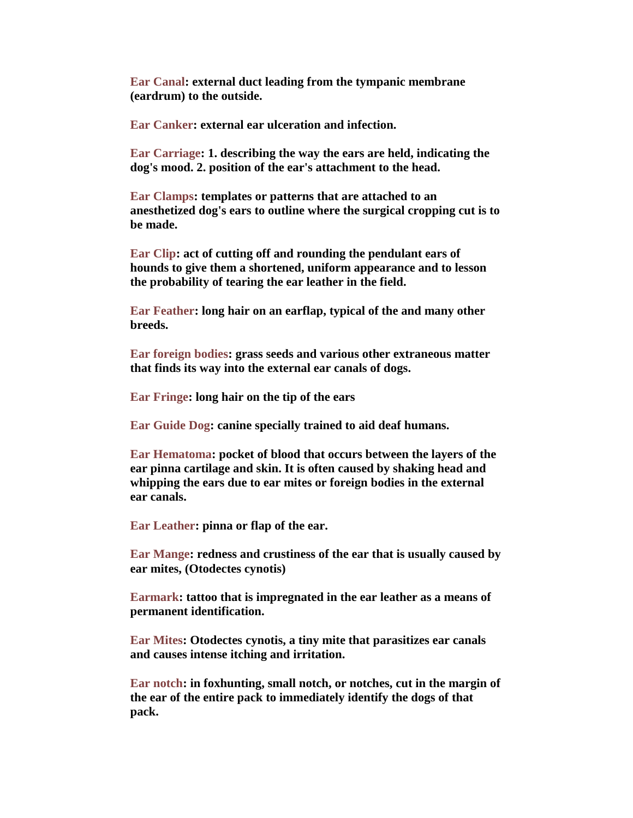**Ear Canal: external duct leading from the tympanic membrane (eardrum) to the outside.**

**Ear Canker: external ear ulceration and infection.**

**Ear Carriage: 1. describing the way the ears are held, indicating the dog's mood. 2. position of the ear's attachment to the head.**

**Ear Clamps: templates or patterns that are attached to an anesthetized dog's ears to outline where the surgical cropping cut is to be made.**

**Ear Clip: act of cutting off and rounding the pendulant ears of hounds to give them a shortened, uniform appearance and to lesson the probability of tearing the ear leather in the field.**

**Ear Feather: long hair on an earflap, typical of the and many other breeds.**

**Ear foreign bodies: grass seeds and various other extraneous matter that finds its way into the external ear canals of dogs.**

**Ear Fringe: long hair on the tip of the ears** 

**Ear Guide Dog: canine specially trained to aid deaf humans.**

**Ear Hematoma: pocket of blood that occurs between the layers of the ear pinna cartilage and skin. It is often caused by shaking head and whipping the ears due to ear mites or foreign bodies in the external ear canals.**

**Ear Leather: pinna or flap of the ear.**

**Ear Mange: redness and crustiness of the ear that is usually caused by ear mites, (Otodectes cynotis)**

**Earmark: tattoo that is impregnated in the ear leather as a means of permanent identification.**

**Ear Mites: Otodectes cynotis, a tiny mite that parasitizes ear canals and causes intense itching and irritation.** 

**Ear notch: in foxhunting, small notch, or notches, cut in the margin of the ear of the entire pack to immediately identify the dogs of that pack.**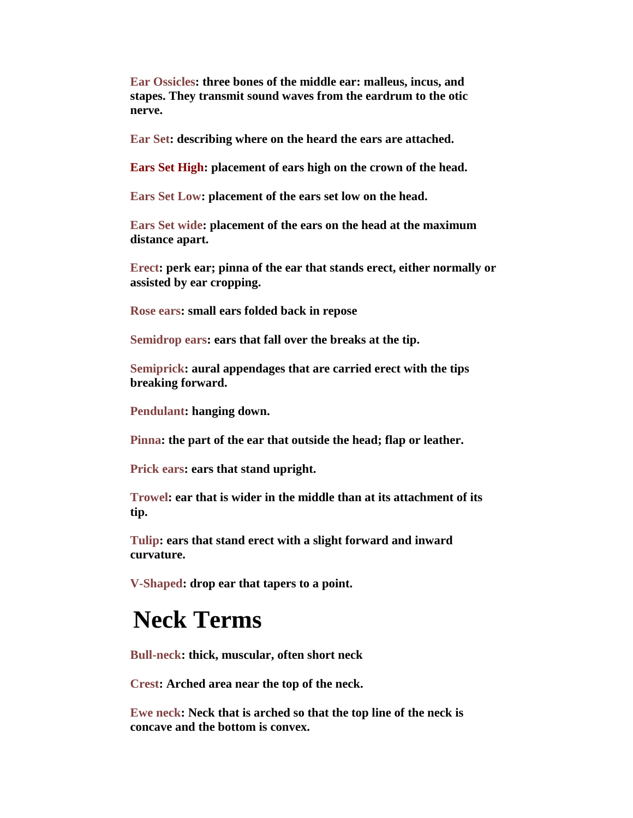**Ear Ossicles: three bones of the middle ear: malleus, incus, and stapes. They transmit sound waves from the eardrum to the otic nerve.**

**Ear Set: describing where on the heard the ears are attached.**

**Ears Set High: placement of ears high on the crown of the head.**

**Ears Set Low: placement of the ears set low on the head.**

**Ears Set wide: placement of the ears on the head at the maximum distance apart.**

**Erect: perk ear; pinna of the ear that stands erect, either normally or assisted by ear cropping.**

**Rose ears: small ears folded back in repose** 

**Semidrop ears: ears that fall over the breaks at the tip.**

**Semiprick: aural appendages that are carried erect with the tips breaking forward.**

**Pendulant: hanging down.** 

**Pinna: the part of the ear that outside the head; flap or leather.**

**Prick ears: ears that stand upright.**

**Trowel: ear that is wider in the middle than at its attachment of its tip.**

**Tulip: ears that stand erect with a slight forward and inward curvature.**

**V-Shaped: drop ear that tapers to a point.**

### **Neck Terms**

**Bull-neck: thick, muscular, often short neck**

**Crest: Arched area near the top of the neck.**

**Ewe neck: Neck that is arched so that the top line of the neck is concave and the bottom is convex.**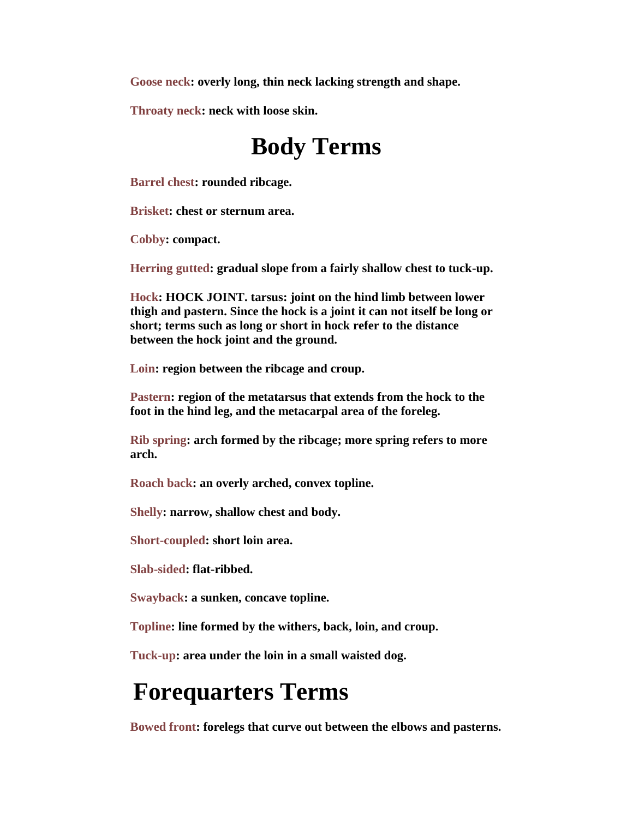**Goose neck: overly long, thin neck lacking strength and shape.**

**Throaty neck: neck with loose skin.**

# **Body Terms**

**Barrel chest: rounded ribcage.**

**Brisket: chest or sternum area.** 

**Cobby: compact.**

**Herring gutted: gradual slope from a fairly shallow chest to tuck-up.** 

**Hock: HOCK JOINT. tarsus: joint on the hind limb between lower thigh and pastern. Since the hock is a joint it can not itself be long or short; terms such as long or short in hock refer to the distance between the hock joint and the ground.**

**Loin: region between the ribcage and croup.**

**Pastern: region of the metatarsus that extends from the hock to the foot in the hind leg, and the metacarpal area of the foreleg.**

**Rib spring: arch formed by the ribcage; more spring refers to more arch.** 

**Roach back: an overly arched, convex topline.**

**Shelly: narrow, shallow chest and body.**

**Short-coupled: short loin area.**

**Slab-sided: flat-ribbed.**

**Swayback: a sunken, concave topline.**

**Topline: line formed by the withers, back, loin, and croup.**

**Tuck-up: area under the loin in a small waisted dog.**

### **Forequarters Terms**

**Bowed front: forelegs that curve out between the elbows and pasterns.**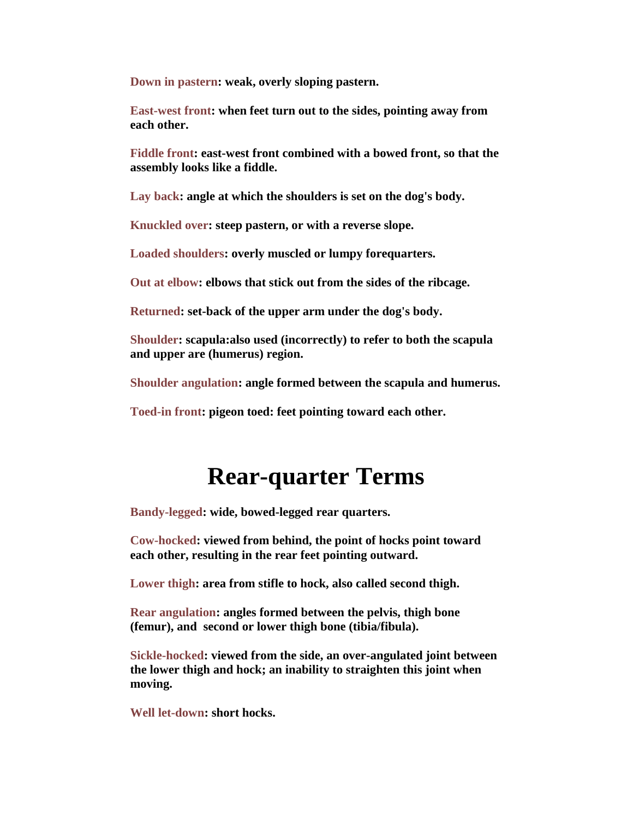**Down in pastern: weak, overly sloping pastern.**

**East-west front: when feet turn out to the sides, pointing away from each other.** 

**Fiddle front: east-west front combined with a bowed front, so that the assembly looks like a fiddle.** 

**Lay back: angle at which the shoulders is set on the dog's body.**

**Knuckled over: steep pastern, or with a reverse slope.** 

**Loaded shoulders: overly muscled or lumpy forequarters.**

**Out at elbow: elbows that stick out from the sides of the ribcage.**

**Returned: set-back of the upper arm under the dog's body.**

**Shoulder: scapula:also used (incorrectly) to refer to both the scapula and upper are (humerus) region.** 

**Shoulder angulation: angle formed between the scapula and humerus.**

**Toed-in front: pigeon toed: feet pointing toward each other.**

### **Rear-quarter Terms**

**Bandy-legged: wide, bowed-legged rear quarters.** 

**Cow-hocked: viewed from behind, the point of hocks point toward each other, resulting in the rear feet pointing outward.**

**Lower thigh: area from stifle to hock, also called second thigh.**

**Rear angulation: angles formed between the pelvis, thigh bone (femur), and second or lower thigh bone (tibia/fibula).**

**Sickle-hocked: viewed from the side, an over-angulated joint between the lower thigh and hock; an inability to straighten this joint when moving.**

**Well let-down: short hocks.**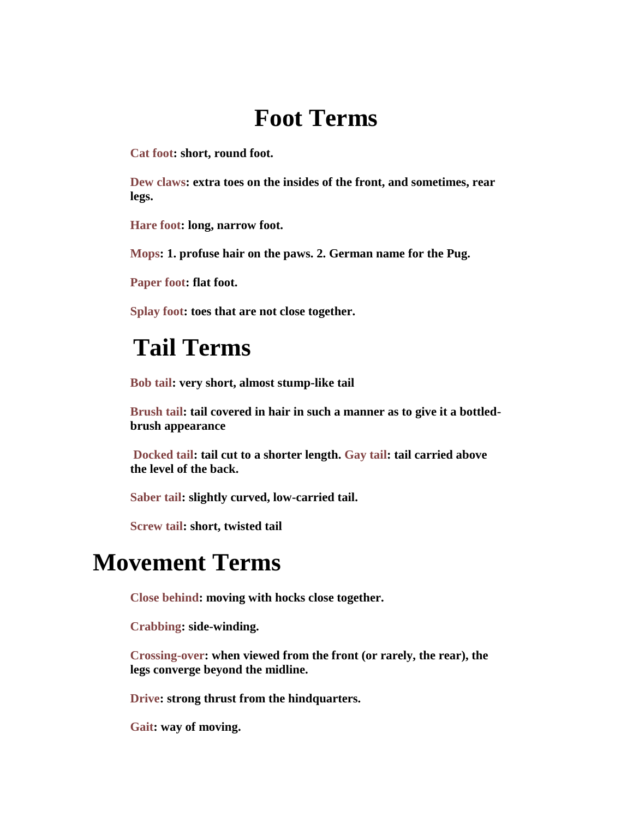# **Foot Terms**

**Cat foot: short, round foot.** 

**Dew claws: extra toes on the insides of the front, and sometimes, rear legs.** 

**Hare foot: long, narrow foot.**

**Mops: 1. profuse hair on the paws. 2. German name for the Pug.**

**Paper foot: flat foot.**

**Splay foot: toes that are not close together.**

### **Tail Terms**

**Bob tail: very short, almost stump-like tail**

**Brush tail: tail covered in hair in such a manner as to give it a bottledbrush appearance**

**Docked tail: tail cut to a shorter length. Gay tail: tail carried above the level of the back.**

**Saber tail: slightly curved, low-carried tail.**

**Screw tail: short, twisted tail**

#### **Movement Terms**

**Close behind: moving with hocks close together.** 

**Crabbing: side-winding.**

**Crossing-over: when viewed from the front (or rarely, the rear), the legs converge beyond the midline.** 

**Drive: strong thrust from the hindquarters.**

**Gait: way of moving.**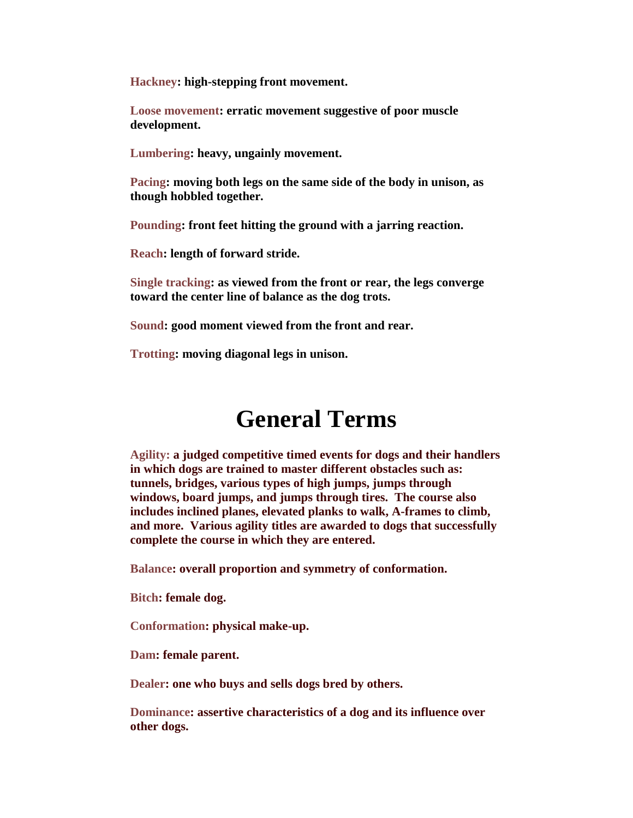**Hackney: high-stepping front movement.**

**Loose movement: erratic movement suggestive of poor muscle development.**

**Lumbering: heavy, ungainly movement.**

**Pacing: moving both legs on the same side of the body in unison, as though hobbled together.**

**Pounding: front feet hitting the ground with a jarring reaction.**

**Reach: length of forward stride.**

**Single tracking: as viewed from the front or rear, the legs converge toward the center line of balance as the dog trots.** 

**Sound: good moment viewed from the front and rear.**

**Trotting: moving diagonal legs in unison.**

### **General Terms**

**Agility: a judged competitive timed events for dogs and their handlers in which dogs are trained to master different obstacles such as: tunnels, bridges, various types of high jumps, jumps through windows, board jumps, and jumps through tires. The course also includes inclined planes, elevated planks to walk, A-frames to climb, and more. Various agility titles are awarded to dogs that successfully complete the course in which they are entered.**

**Balance: overall proportion and symmetry of conformation.**

**Bitch: female dog.**

**Conformation: physical make-up.**

**Dam: female parent.**

**Dealer: one who buys and sells dogs bred by others.** 

**Dominance: assertive characteristics of a dog and its influence over other dogs.**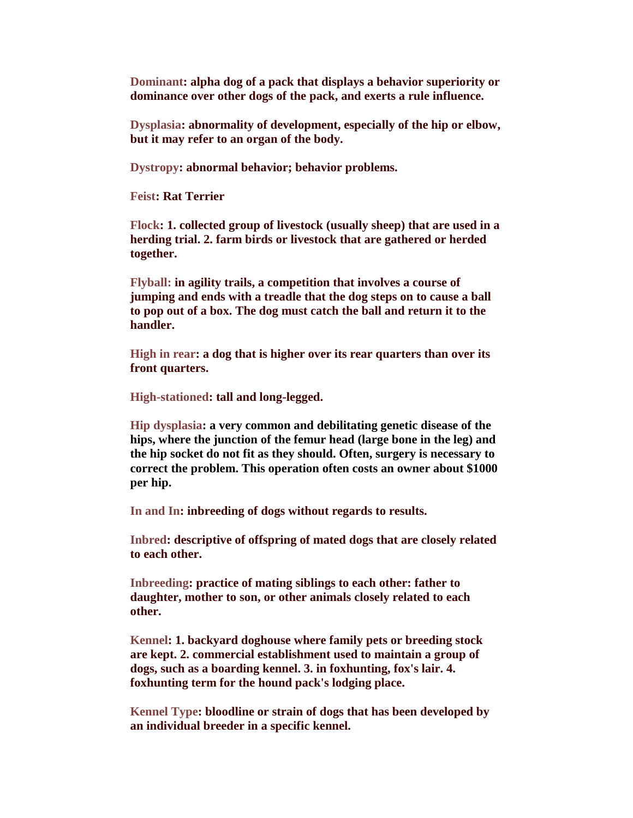**Dominant: alpha dog of a pack that displays a behavior superiority or dominance over other dogs of the pack, and exerts a rule influence.**

**Dysplasia: abnormality of development, especially of the hip or elbow, but it may refer to an organ of the body.**

**Dystropy: abnormal behavior; behavior problems.**

**Feist: Rat Terrier**

**Flock: 1. collected group of livestock (usually sheep) that are used in a herding trial. 2. farm birds or livestock that are gathered or herded together.**

**Flyball: in agility trails, a competition that involves a course of jumping and ends with a treadle that the dog steps on to cause a ball to pop out of a box. The dog must catch the ball and return it to the handler.**

**High in rear: a dog that is higher over its rear quarters than over its front quarters.**

**High-stationed: tall and long-legged.**

**Hip dysplasia: a very common and debilitating genetic disease of the hips, where the junction of the femur head (large bone in the leg) and the hip socket do not fit as they should. Often, surgery is necessary to correct the problem. This operation often costs an owner about \$1000 per hip.**

**In and In: inbreeding of dogs without regards to results.**

**Inbred: descriptive of offspring of mated dogs that are closely related to each other.**

**Inbreeding: practice of mating siblings to each other: father to daughter, mother to son, or other animals closely related to each other.**

**Kennel: 1. backyard doghouse where family pets or breeding stock are kept. 2. commercial establishment used to maintain a group of dogs, such as a boarding kennel. 3. in foxhunting, fox's lair. 4. foxhunting term for the hound pack's lodging place.**

**Kennel Type: bloodline or strain of dogs that has been developed by an individual breeder in a specific kennel.**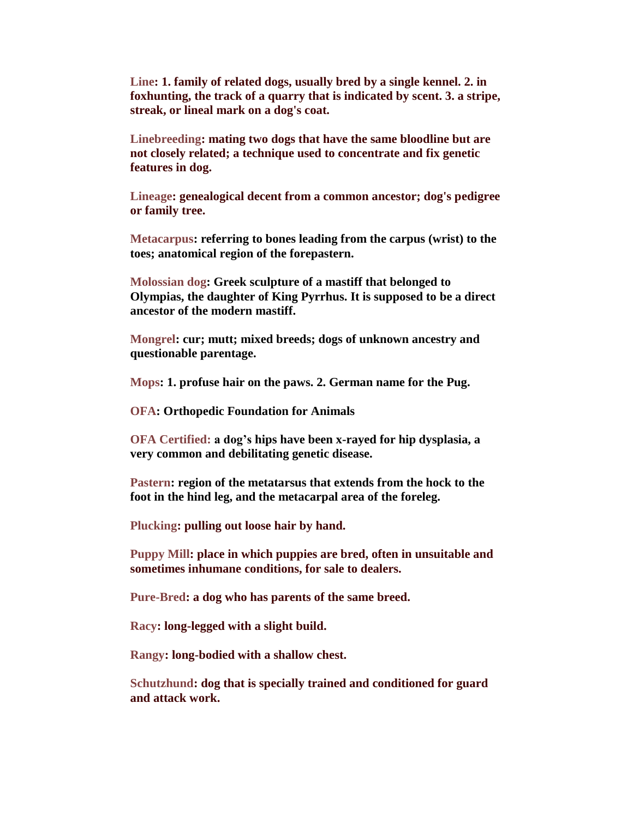**Line: 1. family of related dogs, usually bred by a single kennel. 2. in foxhunting, the track of a quarry that is indicated by scent. 3. a stripe, streak, or lineal mark on a dog's coat.**

**Linebreeding: mating two dogs that have the same bloodline but are not closely related; a technique used to concentrate and fix genetic features in dog.**

**Lineage: genealogical decent from a common ancestor; dog's pedigree or family tree.**

**Metacarpus: referring to bones leading from the carpus (wrist) to the toes; anatomical region of the forepastern.**

**Molossian dog: Greek sculpture of a mastiff that belonged to Olympias, the daughter of King Pyrrhus. It is supposed to be a direct ancestor of the modern mastiff.**

**Mongrel: cur; mutt; mixed breeds; dogs of unknown ancestry and questionable parentage.**

**Mops: 1. profuse hair on the paws. 2. German name for the Pug.**

**OFA: Orthopedic Foundation for Animals**

**OFA Certified: a dog's hips have been x-rayed for hip dysplasia, a very common and debilitating genetic disease.**

**Pastern: region of the metatarsus that extends from the hock to the foot in the hind leg, and the metacarpal area of the foreleg.**

**Plucking: pulling out loose hair by hand.**

**Puppy Mill: place in which puppies are bred, often in unsuitable and sometimes inhumane conditions, for sale to dealers.**

**Pure-Bred: a dog who has parents of the same breed.**

**Racy: long-legged with a slight build.**

**Rangy: long-bodied with a shallow chest.**

**Schutzhund: dog that is specially trained and conditioned for guard and attack work.**